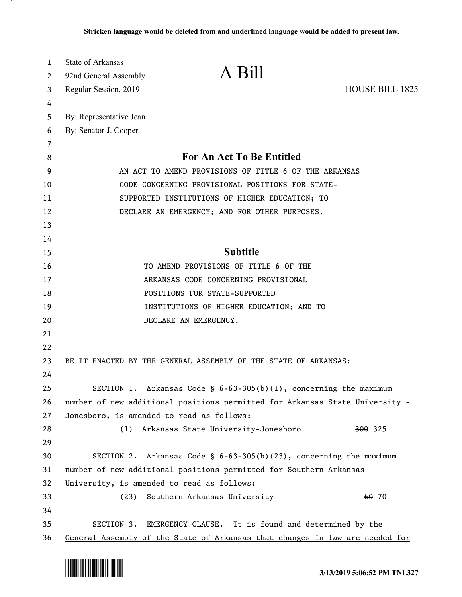| 1  | State of Arkansas<br>A Bill                                                  |  |
|----|------------------------------------------------------------------------------|--|
| 2  | 92nd General Assembly                                                        |  |
| 3  | <b>HOUSE BILL 1825</b><br>Regular Session, 2019                              |  |
| 4  |                                                                              |  |
| 5  | By: Representative Jean                                                      |  |
| 6  | By: Senator J. Cooper                                                        |  |
| 7  |                                                                              |  |
| 8  | <b>For An Act To Be Entitled</b>                                             |  |
| 9  | AN ACT TO AMEND PROVISIONS OF TITLE 6 OF THE ARKANSAS                        |  |
| 10 | CODE CONCERNING PROVISIONAL POSITIONS FOR STATE-                             |  |
| 11 | SUPPORTED INSTITUTIONS OF HIGHER EDUCATION; TO                               |  |
| 12 | DECLARE AN EMERGENCY; AND FOR OTHER PURPOSES.                                |  |
| 13 |                                                                              |  |
| 14 |                                                                              |  |
| 15 | <b>Subtitle</b>                                                              |  |
| 16 | TO AMEND PROVISIONS OF TITLE 6 OF THE                                        |  |
| 17 | ARKANSAS CODE CONCERNING PROVISIONAL                                         |  |
| 18 | POSITIONS FOR STATE-SUPPORTED                                                |  |
| 19 | INSTITUTIONS OF HIGHER EDUCATION; AND TO                                     |  |
| 20 | DECLARE AN EMERGENCY.                                                        |  |
| 21 |                                                                              |  |
| 22 |                                                                              |  |
| 23 | BE IT ENACTED BY THE GENERAL ASSEMBLY OF THE STATE OF ARKANSAS:              |  |
| 24 |                                                                              |  |
| 25 | SECTION 1. Arkansas Code § $6-63-305(b)(1)$ , concerning the maximum         |  |
| 26 | number of new additional positions permitted for Arkansas State University - |  |
| 27 | Jonesboro, is amended to read as follows:                                    |  |
| 28 | Arkansas State University-Jonesboro<br><del>300</del> 325<br>(1)             |  |
| 29 |                                                                              |  |
| 30 | SECTION 2. Arkansas Code § $6-63-305(b)(23)$ , concerning the maximum        |  |
| 31 | number of new additional positions permitted for Southern Arkansas           |  |
| 32 | University, is amended to read as follows:                                   |  |
| 33 | Southern Arkansas University<br>60 70<br>(23)                                |  |
| 34 |                                                                              |  |
| 35 | SECTION 3.<br>EMERGENCY CLAUSE. It is found and determined by the            |  |
| 36 | General Assembly of the State of Arkansas that changes in law are needed for |  |